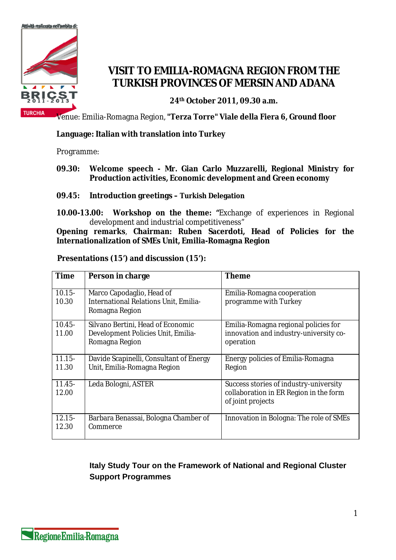

## **VISIT TO EMILIA-ROMAGNA REGION FROM THE TURKISH PROVINCES OF MERSIN AND ADANA**

**24th October 2011, 09.30 a.m.**

Venue: Emilia-Romagna Region, **"Terza Torre" Viale della Fiera 6, Ground floor**

**Language: Italian with translation into Turkey**

Programme:

- **09.30: Welcome speech - Mr. Gian Carlo Muzzarelli, Regional Ministry for Production activities, Economic development and Green economy**
- **09.45: Introduction greetings – Turkish Delegation**
- **10.00-13.00: Workshop on the theme: "**Exchange of experiences in Regional development and industrial competitiveness"

**Opening remarks**, **Chairman: Ruben Sacerdoti, Head of Policies for the Internationalization of SMEs Unit, Emilia-Romagna Region**

|  | Presentations (15') and discussion (15'): |  |
|--|-------------------------------------------|--|
|--|-------------------------------------------|--|

| Time               | Person in charge                                                                          | Theme                                                                                                 |
|--------------------|-------------------------------------------------------------------------------------------|-------------------------------------------------------------------------------------------------------|
| $10.15 -$<br>10.30 | Marco Capodaglio, Head of<br>International Relations Unit, Emilia-<br>Romagna Region      | Emilia-Romagna cooperation<br>programme with Turkey                                                   |
| $10.45 -$<br>11.00 | Silvano Bertini, Head of Economic<br>Development Policies Unit, Emilia-<br>Romagna Region | Emilia-Romagna regional policies for<br>innovation and industry-university co-<br>operation           |
| $11.15 -$<br>11.30 | Davide Scapinelli, Consultant of Energy<br>Unit, Emilia-Romagna Region                    | Energy policies of Emilia-Romagna<br>Region                                                           |
| $11.45 -$<br>12.00 | Leda Bologni, ASTER                                                                       | Success stories of industry-university<br>collaboration in ER Region in the form<br>of joint projects |
| $12.15 -$<br>12.30 | Barbara Benassai, Bologna Chamber of<br>Commerce                                          | Innovation in Bologna: The role of SMEs                                                               |

## **Italy Study Tour on the Framework of National and Regional Cluster Support Programmes**